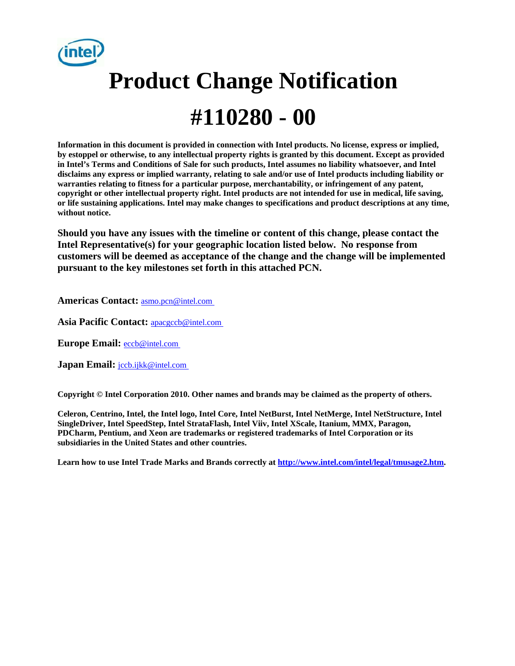

# **Product Change Notification #110280 - 00**

**Information in this document is provided in connection with Intel products. No license, express or implied, by estoppel or otherwise, to any intellectual property rights is granted by this document. Except as provided in Intel's Terms and Conditions of Sale for such products, Intel assumes no liability whatsoever, and Intel disclaims any express or implied warranty, relating to sale and/or use of Intel products including liability or warranties relating to fitness for a particular purpose, merchantability, or infringement of any patent, copyright or other intellectual property right. Intel products are not intended for use in medical, life saving, or life sustaining applications. Intel may make changes to specifications and product descriptions at any time, without notice.** 

**Should you have any issues with the timeline or content of this change, please contact the Intel Representative(s) for your geographic location listed below. No response from customers will be deemed as acceptance of the change and the change will be implemented pursuant to the key milestones set forth in this attached PCN.** 

**Americas Contact:** [asmo.pcn@intel.com](mailto:asmo.pcn@intel.com) 

Asia Pacific Contact: **apacgccb@intel.com** 

**Europe Email:** [eccb@intel.com](mailto:eccb@intel.com) 

**Japan Email: jccb.ijkk@intel.com** 

**Copyright © Intel Corporation 2010. Other names and brands may be claimed as the property of others.**

**Celeron, Centrino, Intel, the Intel logo, Intel Core, Intel NetBurst, Intel NetMerge, Intel NetStructure, Intel SingleDriver, Intel SpeedStep, Intel StrataFlash, Intel Viiv, Intel XScale, Itanium, MMX, Paragon, PDCharm, Pentium, and Xeon are trademarks or registered trademarks of Intel Corporation or its subsidiaries in the United States and other countries.** 

**Learn how to use Intel Trade Marks and Brands correctly at [http://www.intel.com/intel/legal/tmusage2.htm.](http://www.intel.com/intel/legal/tmusage2.htm)**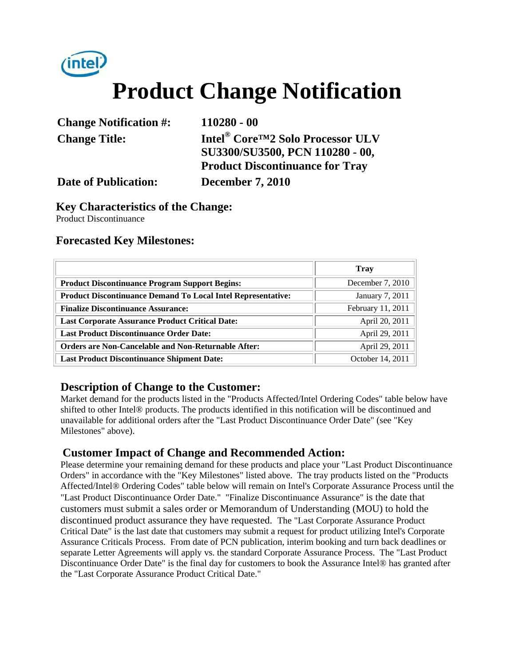

## **Product Change Notification**

| <b>Change Notification #:</b> | $110280 - 00$                                              |
|-------------------------------|------------------------------------------------------------|
| <b>Change Title:</b>          | Intel <sup>®</sup> Core <sup>TM</sup> 2 Solo Processor ULV |
|                               | SU3300/SU3500, PCN 110280 - 00,                            |
|                               | <b>Product Discontinuance for Tray</b>                     |
| <b>Date of Publication:</b>   | <b>December 7, 2010</b>                                    |

#### **Key Characteristics of the Change:**

Product Discontinuance

#### **Forecasted Key Milestones:**

|                                                                     | <b>Trav</b>       |  |  |
|---------------------------------------------------------------------|-------------------|--|--|
| <b>Product Discontinuance Program Support Begins:</b>               | December 7, 2010  |  |  |
| <b>Product Discontinuance Demand To Local Intel Representative:</b> | January 7, 2011   |  |  |
| <b>Finalize Discontinuance Assurance:</b>                           | February 11, 2011 |  |  |
| <b>Last Corporate Assurance Product Critical Date:</b>              | April 20, 2011    |  |  |
| <b>Last Product Discontinuance Order Date:</b>                      | April 29, 2011    |  |  |
| <b>Orders are Non-Cancelable and Non-Returnable After:</b>          | April 29, 2011    |  |  |
| <b>Last Product Discontinuance Shipment Date:</b>                   | October 14, 2011  |  |  |

#### **Description of Change to the Customer:**

Market demand for the products listed in the "Products Affected/Intel Ordering Codes" table below have shifted to other Intel® products. The products identified in this notification will be discontinued and unavailable for additional orders after the "Last Product Discontinuance Order Date" (see "Key Milestones" above).

#### **Customer Impact of Change and Recommended Action:**

Please determine your remaining demand for these products and place your "Last Product Discontinuance Orders" in accordance with the "Key Milestones" listed above. The tray products listed on the "Products Affected/Intel® Ordering Codes" table below will remain on Intel's Corporate Assurance Process until the "Last Product Discontinuance Order Date." "Finalize Discontinuance Assurance" is the date that customers must submit a sales order or Memorandum of Understanding (MOU) to hold the discontinued product assurance they have requested. The "Last Corporate Assurance Product Critical Date" is the last date that customers may submit a request for product utilizing Intel's Corporate Assurance Criticals Process. From date of PCN publication, interim booking and turn back deadlines or separate Letter Agreements will apply vs. the standard Corporate Assurance Process. The "Last Product Discontinuance Order Date" is the final day for customers to book the Assurance Intel® has granted after the "Last Corporate Assurance Product Critical Date."